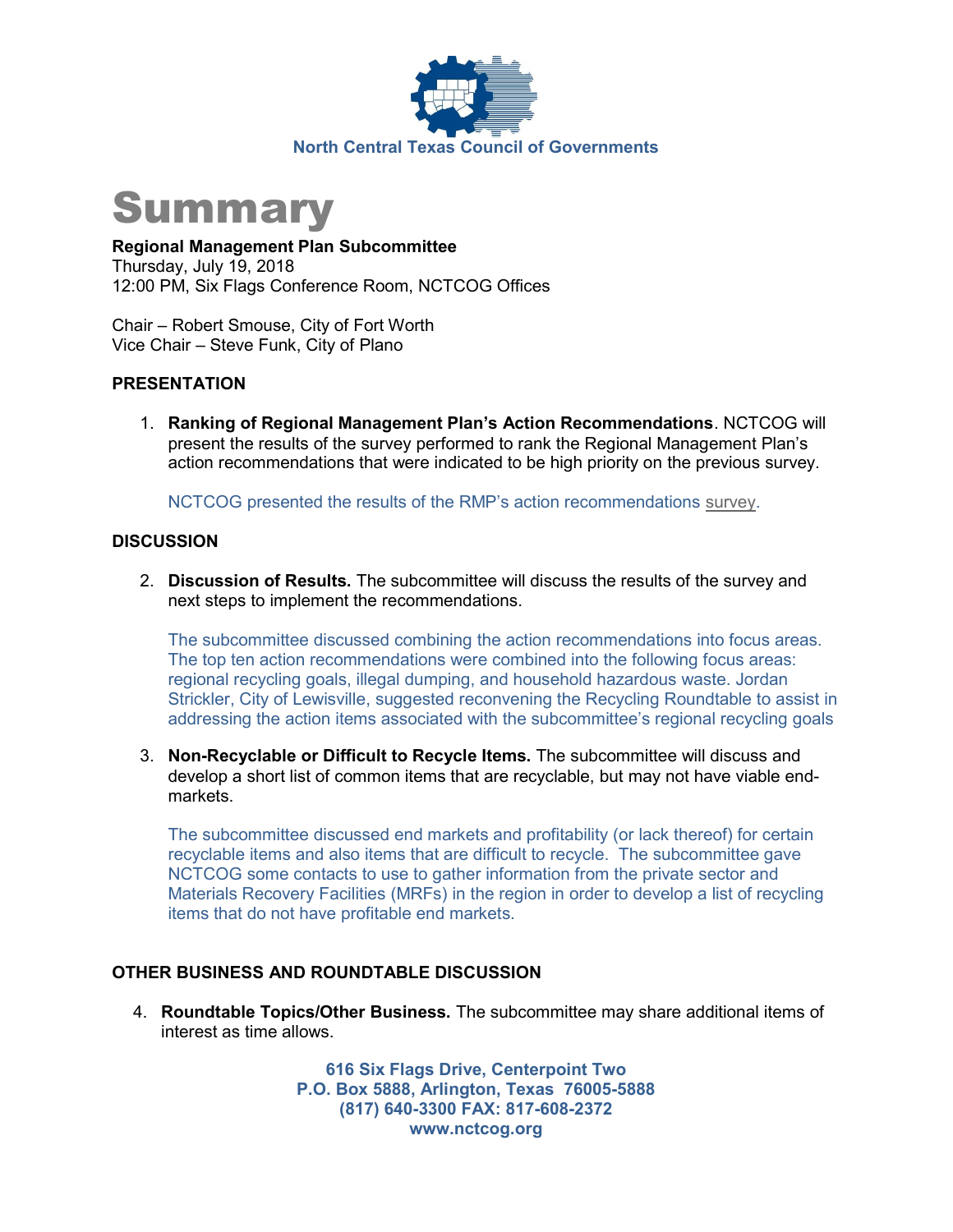

## **Summary**

Regional Management Plan Subcommittee Thursday, July 19, 2018 12:00 PM, Six Flags Conference Room, NCTCOG Offices

Chair – Robert Smouse, City of Fort Worth Vice Chair – Steve Funk, City of Plano

#### PRESENTATION

1. Ranking of Regional Management Plan's Action Recommendations. NCTCOG will present the results of the survey performed to rank the Regional Management Plan's action recommendations that were indicated to be high priority on the previous survey.

NCTCOG presented the results of the RMP's action recommendations survey.

#### **DISCUSSION**

2. Discussion of Results. The subcommittee will discuss the results of the survey and next steps to implement the recommendations.

The subcommittee discussed combining the action recommendations into focus areas. The top ten action recommendations were combined into the following focus areas: regional recycling goals, illegal dumping, and household hazardous waste. Jordan Strickler, City of Lewisville, suggested reconvening the Recycling Roundtable to assist in addressing the action items associated with the subcommittee's regional recycling goals

3. Non-Recyclable or Difficult to Recycle Items. The subcommittee will discuss and develop a short list of common items that are recyclable, but may not have viable endmarkets.

The subcommittee discussed end markets and profitability (or lack thereof) for certain recyclable items and also items that are difficult to recycle. The subcommittee gave NCTCOG some contacts to use to gather information from the private sector and Materials Recovery Facilities (MRFs) in the region in order to develop a list of recycling items that do not have profitable end markets.

#### OTHER BUSINESS AND ROUNDTABLE DISCUSSION

4. Roundtable Topics/Other Business. The subcommittee may share additional items of interest as time allows.

> 616 Six Flags Drive, Centerpoint Two P.O. Box 5888, Arlington, Texas 76005-5888 (817) 640-3300 FAX: 817-608-2372 www.nctcog.org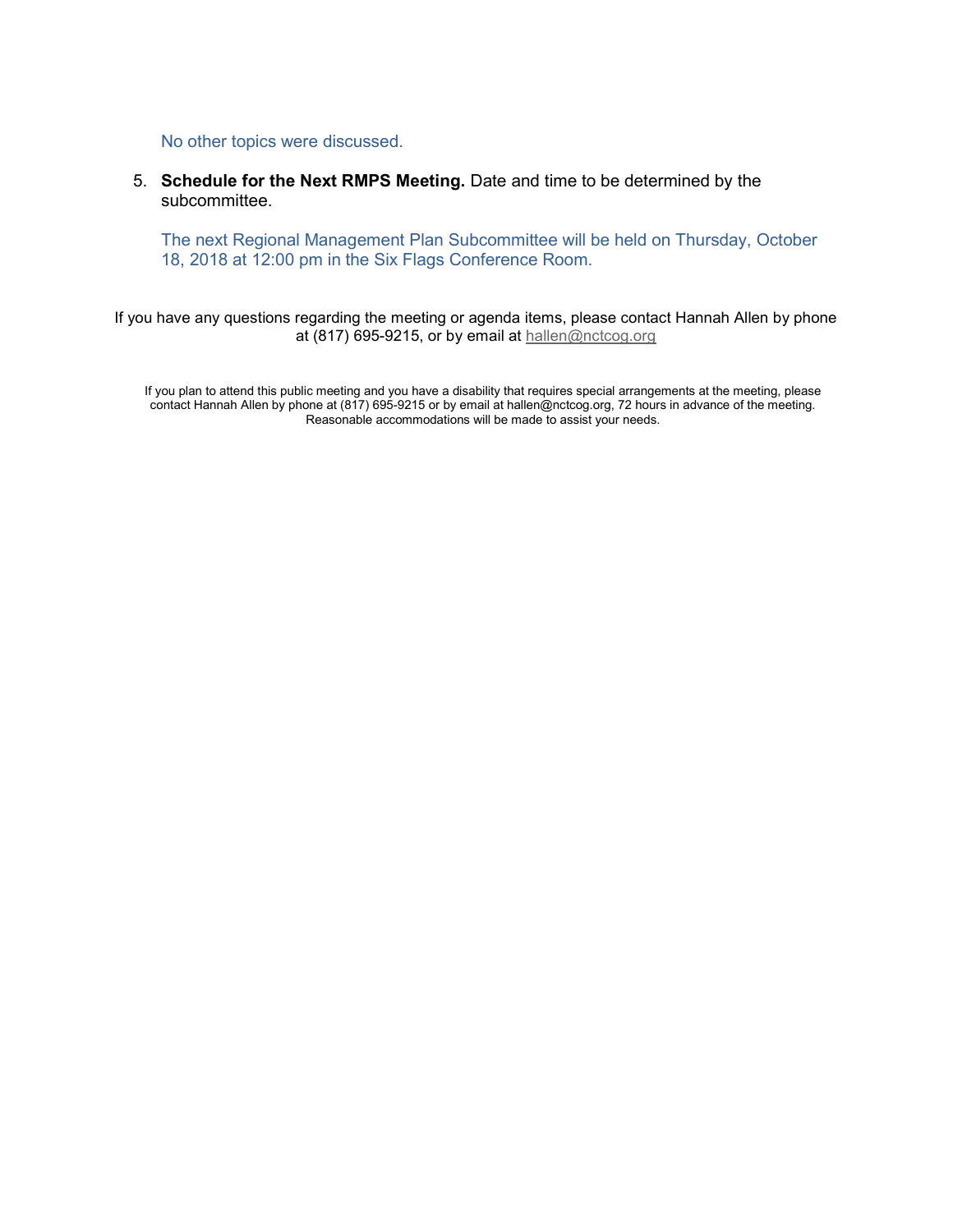No other topics were discussed.

5. Schedule for the Next RMPS Meeting. Date and time to be determined by the subcommittee.

The next Regional Management Plan Subcommittee will be held on Thursday, October 18, 2018 at 12:00 pm in the Six Flags Conference Room.

If you have any questions regarding the meeting or agenda items, please contact Hannah Allen by phone at (817) 695-9215, or by email at hallen@nctcog.org

If you plan to attend this public meeting and you have a disability that requires special arrangements at the meeting, please contact Hannah Allen by phone at (817) 695-9215 or by email at hallen@nctcog.org, 72 hours in advance of the meeting. Reasonable accommodations will be made to assist your needs.